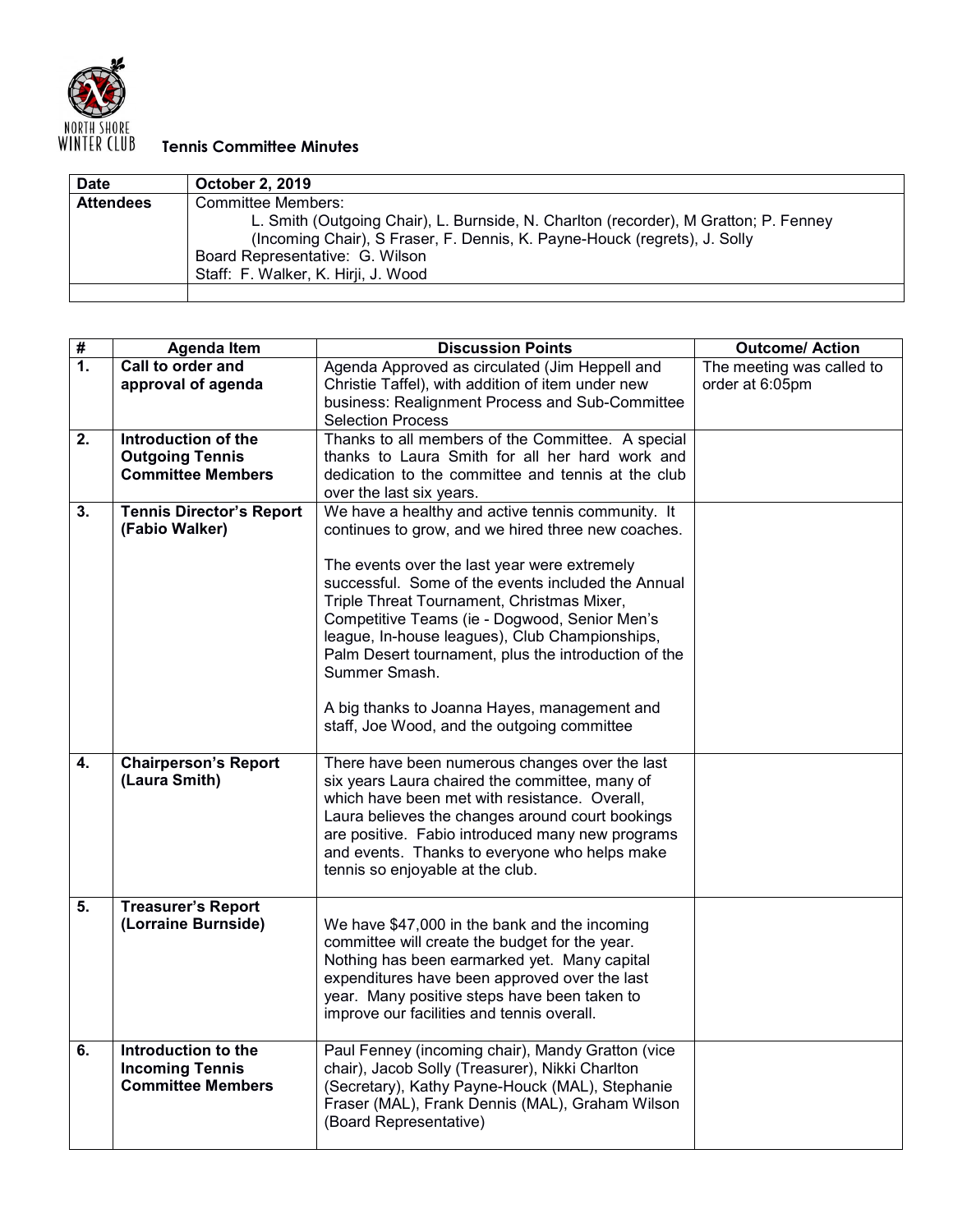

## **NORTH SHORE**<br>WINTER CLUB **Tennis Committee Minutes**

| <b>Date</b>      | <b>October 2, 2019</b>                                                               |
|------------------|--------------------------------------------------------------------------------------|
| <b>Attendees</b> | Committee Members:                                                                   |
|                  | L. Smith (Outgoing Chair), L. Burnside, N. Charlton (recorder), M Gratton; P. Fenney |
|                  | (Incoming Chair), S Fraser, F. Dennis, K. Payne-Houck (regrets), J. Solly            |
|                  | Board Representative: G. Wilson                                                      |
|                  | Staff: F. Walker, K. Hirji, J. Wood                                                  |
|                  |                                                                                      |

| $\overline{\boldsymbol{t}}$ | <b>Agenda Item</b>              | <b>Discussion Points</b>                             | <b>Outcome/ Action</b>    |
|-----------------------------|---------------------------------|------------------------------------------------------|---------------------------|
| $\mathbf{1}$ .              | Call to order and               | Agenda Approved as circulated (Jim Heppell and       | The meeting was called to |
|                             | approval of agenda              | Christie Taffel), with addition of item under new    | order at 6:05pm           |
|                             |                                 | business: Realignment Process and Sub-Committee      |                           |
|                             |                                 | <b>Selection Process</b>                             |                           |
| $\overline{2}$ .            | Introduction of the             | Thanks to all members of the Committee. A special    |                           |
|                             | <b>Outgoing Tennis</b>          | thanks to Laura Smith for all her hard work and      |                           |
|                             | <b>Committee Members</b>        | dedication to the committee and tennis at the club   |                           |
|                             |                                 | over the last six years.                             |                           |
| 3.                          | <b>Tennis Director's Report</b> | We have a healthy and active tennis community. It    |                           |
|                             | (Fabio Walker)                  | continues to grow, and we hired three new coaches.   |                           |
|                             |                                 |                                                      |                           |
|                             |                                 | The events over the last year were extremely         |                           |
|                             |                                 | successful. Some of the events included the Annual   |                           |
|                             |                                 | Triple Threat Tournament, Christmas Mixer,           |                           |
|                             |                                 | Competitive Teams (ie - Dogwood, Senior Men's        |                           |
|                             |                                 | league, In-house leagues), Club Championships,       |                           |
|                             |                                 | Palm Desert tournament, plus the introduction of the |                           |
|                             |                                 | Summer Smash.                                        |                           |
|                             |                                 |                                                      |                           |
|                             |                                 | A big thanks to Joanna Hayes, management and         |                           |
|                             |                                 | staff, Joe Wood, and the outgoing committee          |                           |
|                             |                                 |                                                      |                           |
| 4.                          | <b>Chairperson's Report</b>     | There have been numerous changes over the last       |                           |
|                             | (Laura Smith)                   | six years Laura chaired the committee, many of       |                           |
|                             |                                 | which have been met with resistance. Overall,        |                           |
|                             |                                 | Laura believes the changes around court bookings     |                           |
|                             |                                 | are positive. Fabio introduced many new programs     |                           |
|                             |                                 | and events. Thanks to everyone who helps make        |                           |
|                             |                                 | tennis so enjoyable at the club.                     |                           |
| 5.                          | <b>Treasurer's Report</b>       |                                                      |                           |
|                             | (Lorraine Burnside)             | We have \$47,000 in the bank and the incoming        |                           |
|                             |                                 | committee will create the budget for the year.       |                           |
|                             |                                 | Nothing has been earmarked yet. Many capital         |                           |
|                             |                                 | expenditures have been approved over the last        |                           |
|                             |                                 | year. Many positive steps have been taken to         |                           |
|                             |                                 | improve our facilities and tennis overall.           |                           |
|                             |                                 |                                                      |                           |
| 6.                          | Introduction to the             | Paul Fenney (incoming chair), Mandy Gratton (vice    |                           |
|                             | <b>Incoming Tennis</b>          | chair), Jacob Solly (Treasurer), Nikki Charlton      |                           |
|                             | <b>Committee Members</b>        | (Secretary), Kathy Payne-Houck (MAL), Stephanie      |                           |
|                             |                                 | Fraser (MAL), Frank Dennis (MAL), Graham Wilson      |                           |
|                             |                                 | (Board Representative)                               |                           |
|                             |                                 |                                                      |                           |